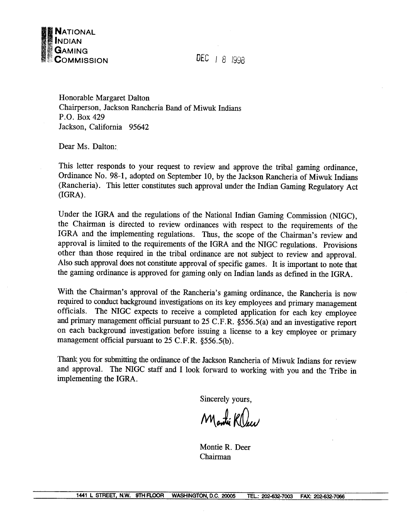

**DEC** I 8 1938

Honorable Margaret Dalton Chairperson, Jackson Rancheria Band of Miwuk Indians P.O. Box 429 Jackson, California 95642

Dear Ms. Dalton:

This letter responds to your request to review and approve the tribal gaming ordinance, Ordinance No. 98-1, adopted on September 10, by the Jackson Rancheria of Miwuk Indians (Rancheria). This letter constitutes such approval under the Indian Gaming Regulatory Act (IGRA) .

Under the IGRA and the regulations of the National Indian Gaming Commission (NIGC), the Chairman is directed to review ordinances with respect to the requirements of the IGRA and the implementing regulations. Thus, the scope of the Chairman's review and approval is limited to the requirements of the IGRA and the NIGC regulations. Provisions other than those required in the tribal ordinance are not subject to review and approval. Also such approval does not constitute approval of specific games. It is important to note that the gaming ordinance is approved for gaming only on Indian lands as defined in the IGRA.

With the Chairman's approval of the Rancheria's gaming ordinance, the Rancheria is now required to conduct background investigations on its key employees and primary management officials. The NIGC expects to receive a completed application for each key employee and primary management official pursuant to 25 C.F.R. §556.5(a) and an investigative report on each background investigation before issuing a license to a key employee or primary management official pursuant to 25 C.F.R. §556.5(b).

Thank you for submitting the ordinance of the Jackson Rancheria of Miwuk Indians for review and approval. The NIGC staff and I look forward to working witb you and the Tribe in implementing the IGRA.

Sincerely yours,

Manti KOu

Montie R. Deer Chairman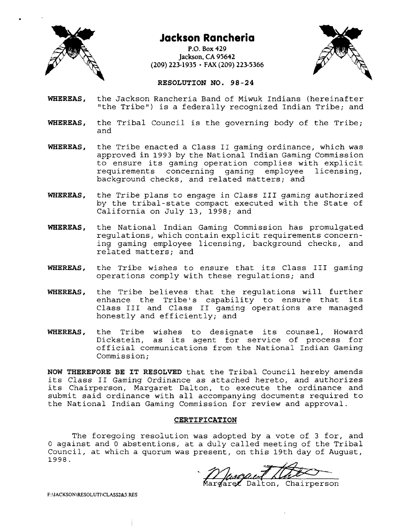

# **Jackson Rancheria**

**P.O. Box 429 Jackson, CA 95642 (209) 223-1935 FAX (209) 223-5366** 



# **RESOLUTION NO. 98-24**

- **WHEREAS,** the Jackson Rancheria Band of Miwuk Indians (hereinafter "the Tribe") is a federally recognized Indian Tribe; and
- **WHEREAS,** the Tribal Council is the governing body of the Tribe; and
- **WHEREAS,** the Tribe enacted a Class I1 gaming ordinance, which was approved in 1993 by the National Indian Gaming Commission to ensure its gaming operation complies with explicit requirements concerning gaming employee licensing, background checks, and related matters; and
- **WHEREAS,** the Tribe plans to engage in Class 111 gaming authorized by the tribal-state compact executed with the State of California on July 13, 1998; and
- **WHEREAS,** the National Indian Gaming Commission has promulgated regulations, which contain explicit requirements concerning gaming employee licensing, background checks, and related matters; and
- **WHEREAS,** the Tribe wishes to ensure that its Class I11 gaming operations comply with these regulations; and
- **WHEREAS,** the Tribe believes that the regulations will further enhance the Tribe's capability to ensure that its Class I11 and Class I1 gaming operations are managed honestly and efficiently; and
- **WHEREAS,** the Tribe wishes to designate its counsel, Howard Dickstein, as its agent for service of process for official communications from the National Indian Gaming Commission;

**NOW THEREFORE BE IT RESOLVED** that the Tribal Council hereby amends its Class I1 Gaming Ordinance as attached hereto, and authorizes its Chairperson, Margaret Dalton, to execute the ordinance and submit said ordinance with all accompanying documents required to the National Indian Gaming Commission for review and approval.

## **CERTIFICATION**

The foregoing resolution was adopted by a vote of 3 for, and 0 against and 0 abstentions, at a duly called meeting of the Tribal Council, at which a quorum was present, on this 19th day of August,

are Dalton, Chairperson

F:\JACKSON\RESOLUTI\CLASS2&3.RES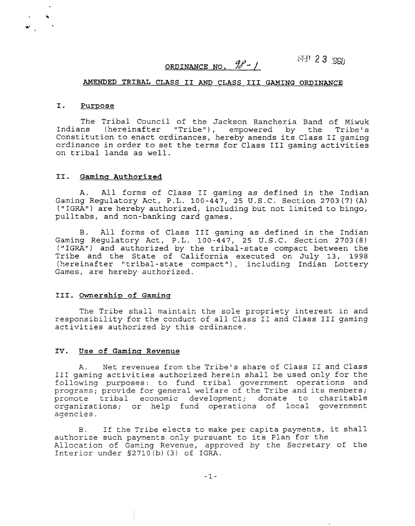ORDINANCE NO. 98<sup>-1</sup>

 $NIP$  2 3 **ipps** 

#### **AMENDED TRIBAL CLASS I1** AND **CLASS I11 GAMING ORDINANCE**

#### **I. Purpose**

 $\mathbf{w}$ 

The Tribal Council of the Jackson Rancheria Band of Miwuk Indians (hereinafter "Tribe"), empowered by the Tribe's Constitution to enact ordinances, hereby amends its Class I1 gaming ordinance in order to set the terms for Class I11 gaming activities on tribal lands as well.

#### **11. Gamina Authorized**

A. All forms of Class I1 gaming as defined in the Indian Gaming Regulatory Act, P.L. 100-447, 25 U.S.C. Section 2703 (7) (A) **("IGRA")** are hereby authorized, including but not limited to bingo, pulltabs, and non-banking card games.

B. All forms of Class I11 gaming as defined in the Indian Gaming Regulatory Act, P.L. 100-447, 25 U.S.C. Section 2703(8) ("IGRA") and authorized by the tribal-state compact between the Tribe and the State of California executed on July 13, 1998 (hereinafter "tribal-state compact"), including Indian Lottery Games, are hereby authorized.

## **111. Ownership of Gaminq**

The Tribe shall maintain the sole propriety interest in and responsibility for the conduct of all Class I1 and Class I11 gaming activities authorized by this ordinance.

#### **IV. Use of Gaminq Revenue**

A. Net revenues from the Tribe's share of Class I1 and Class I11 gaming activities authorized herein shall be used only for the following purposes: to fund tribal government operations and programs; provide for general welfare of the Tribe and its members; promote tribal economic development; donate to charitable organizations; or help fund operations of local government agencies.

B. If the Tribe elects to make per capita payments, it shall authorize such payments only pursuant to its Plan for the Allocation of Gaming Revenue, approved by the Secretary of the Interior under S2710 (b) (3) of IGRA.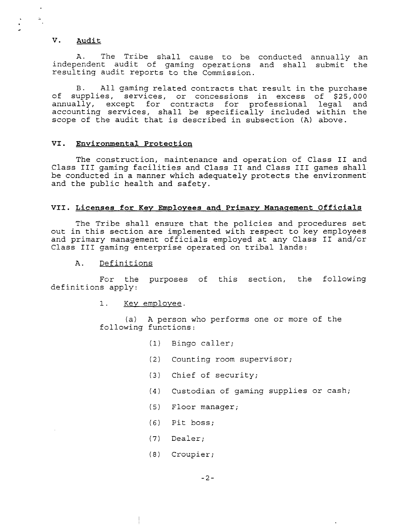# **V. Audit**

 $\bullet$ 

 $\mathcal{L}_{\bullet}$ 

 $\frac{1}{2}$ 

A. The Tribe shall cause to be conducted annually an independent audit of gaming operations and shall submit the resulting audit reports to the Commission.

B. All gaming related contracts that result in the purchase of supplies, services, or concessions in excess of \$25,000 annually, except for contracts for professional legal and accounting services, shall be specifically included within the scope of the audit that is described in subsection (A) above.

#### **VI. Environmental Protection**

The construction, maintenance and operation of Class I1 and Class I11 gaming facilities and Class I1 and Class I11 games shall be conducted in a manner which adequately protects the environment and the public health and safety.

#### VII. Licenses for Key Employees and Primary Management Officials

The Tribe shall ensure that the policies and procedures set out in this section are implemented with respect to key employees and primary management officials employed at any Class I1 and/cr Class 111 gaming enterprise operated on tribal lands:

#### A. Definitions

For the purposes of this section, the following definitions apply:

#### 1. Key employee.

(a) A person who performs one or more of the following functions:

- (1) Bingo caller;
- (2) Counting room supervisor;
- (3) Chief of security;
- (4) Custodian of gaming supplies or cash;
- (5) Floor manager;
- (6) Pitboss;
- (7) Dealer;
- (8) Croupier;

 $-2-$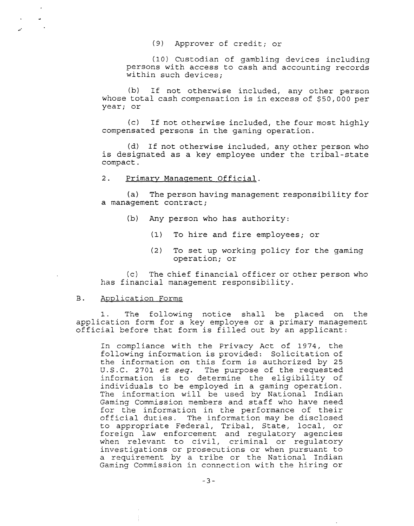(9) Approver of credit; or

(10) Custodian of gambling devices including persons with access to cash and accounting records within such devices;

(b) If not otherwise included, any other person whose total cash compensation is in excess of \$50,000 per year; or

(c) If not otherwise included, the four most highly compensated persons in the gaming operation.

(d) If not otherwise included, any other person who is designated as a key employee under the tribal-state compact.

## 2. Primary Management Official.

(a) The person having management responsibility for a management contract;

- (b) Any person who has authority:
	- **(1)** To hire and fire employees; or
	- (2) To set up working policy for the gaming operation; or

(c) The chief financial officer or other person who has financial management responsibility.

## B. Application Forms

Ť.

 $\omega$ 

 $\mathcal{L}$ 

The following notice shall be placed on the application form for a key employee or a primary management official before that form is filled out by an applicant:

In compliance with the Privacy Act of 1974, the following information is provided: Solicitation of the information on this form is authorized by 25 U.S.C. 2701 et seq. The purpose of the requested information is to determine the eligibility of individuals to be employed in a gaming operation. The information will be used by National Indian Gaming Commission members and staff who have need for the information in the performance of their official duties. The information may be disclosed to appropriate Federal, Tribal, State, local, or foreign law enforcement and regulatory agencies when relevant to civil, criminal or regulatory investigations or prosecutions or when pursuant to a requirement by a tribe or the National Indian Gaming Commission in connection with the hiring or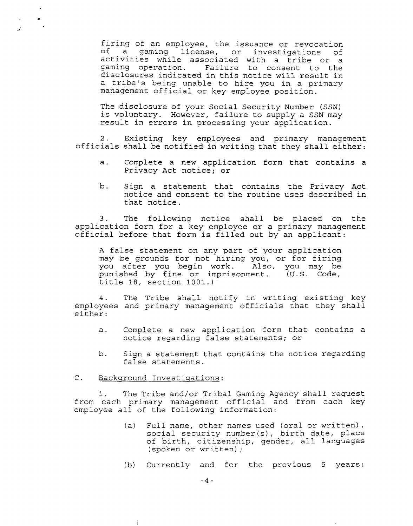firing of an employee, the issuance or revocation of a gaming license, or investigations of activities while associated with a tribe or a gaming operation. Failure to consent to the disclosures indicated in this notice will result in a tribe's being unable to hire you in a primary management official or key employee position.

The disclosure of your Social Security Number (SSN) is voluntary. However, failure to supply a SSN may result in errors in processing your application.

2. Existing key employees and primary management officials shall be notified in writing that they shall either:

- a. Complete a new application form that contains a Privacy Act notice; or
- b. Sign a statement that contains the Privacy Act notice and consent to the routine uses described in that notice.

3. The following notice shall be placed on the application form for a key employee or a primary management official before that form is filled out by an applicant:

A false statement on any part of your application may be grounds for not hiring you, or for firing you after you begin work. Also, you may be punished by fine or imprisonment. (U.S. Code, title 18, section 1001.)

4. The Tribe shall notify in writing existing key employees and primary management officials that they shall either:

- a. Complete a new application form that contains a notice regarding false statements; or
- b. Sign a statement that contains the notice regarding false statements.
- C. Background Investigations:

1. The Tribe and/or Tribal Gaming Agency shall request from each primary management official and from each key employee all of the following information:

- (a) Full name, other names used (oral or written), social security number (s) , birth date, place of birth, citizenship, gender, all languages (spoken or written) ;
- (b) Currently and for the previous 5 years:

 $-4-$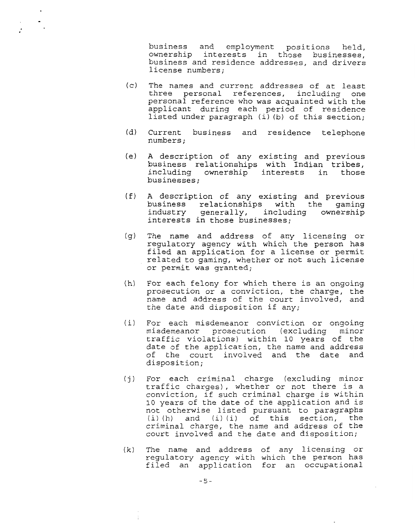business and employment positions held, ownership interests in those businesses, business and residence addresses, and drivers license numbers;

- $(c)$ The names and current addresses of at least three personal references, including one personal reference who was acquainted with the applicant during each period of residence listed under paragraph (i) (b) of this section;
- Current business and residence telephone numbers ;  $(d)$
- $(e)$ A description of any existing and previous business relationships with Indian tribes, including ownership interests in those businesses;
- A description of any existing and previous  $(f)$ business relationships with the gaming industry generally, including ownership interests in those businesses;
- The name and address of any licensing or  $(q)$ regulatory agency with which the person has filed an application for a license or permit related to gaming, whether or not such license or permit was granted;
- For each felony for which there is an ongoing prosecution or a conviction, the charge, the name and address of the court involved, and the date and disposition if any;
- For each misdemeanor conviction or ongoing  $(i)$ misdemeanor prosecution (excluding minor traffic violations) within 10 years of the date of the application, the name and address of the court involved and the date and disposition;
- For each criminal charge (excluding minor traffic charges), whether or not there is a conviction, if such criminal charge is within 10 years of the date of the application and is not otherwise listed pursuant to paragraphs (i) (h) and (i) (i) of this section, the criminal charge, the name and address of the court involved and the date and disposition;
- $(k)$ The name and address of any licensing or regulatory agency with which the person has filed an application for an occupational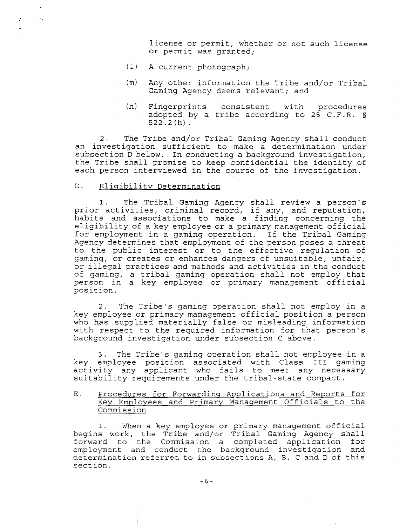license or permit, whether or not such license or permit was granted;

- (1) A current photograph;
- (m) Any other information the Tribe and/or Tribal Gaming Agency deems relevant; and
- (n) Fingerprints consistent with procedures adopted by a tribe according to 25 C.F.R. **5**  522.2(h).

2. The Tribe and/or Tribal Gaming Agency shall conduct an investigation sufficient to make a determination under subsection D below. In conducting a background investigation, the Tribe shall promise to keep confidential the identity of each person interviewed in the course of the investigation.

### D. Eligibility Determination

 $\sim$ 

 $\ddot{\cdot}$ 

1. The Tribal Gaming Agency shall review a person's prior activities, criminal record, if any, and reputation, habits and associations to make a finding concerning the eligibility of a key employee or a primary management official for employment in a gaming operation. If the Tribal Gaming Agency determines that employment of the person poses a threat to the public interest or to the effective regulation of gaming, or creates or enhances dangers of unsuitable, unfair, or illegal practices and methods and activities in the conduct of gaming, a tribal gaming operation shall not employ that person in a key employee or primary management official position.

2. The Tribe's gaming operation shall not employ in a key employee or primary management official position a person who has supplied materially false or misleading information with respect to the required information for that person's background investigation under subsection C above.

3. The Tribe's gaming operation shall not employee in a key employee position associated with Class I11 gaming activity any applicant who fails to meet any necessary suitability requirements under the tribal-state compact.

E. Procedures for Forwarding Applications and Reports for Key Employees and Primary Management Officials to the Commission

When a key employee or primary management official begins work, the Tribe and/or Tribal Gaming Agency shall forward to the Commission a completed application for employment and conduct the background investigation and determination referred to in subsections A, B, C and D of this sect ion.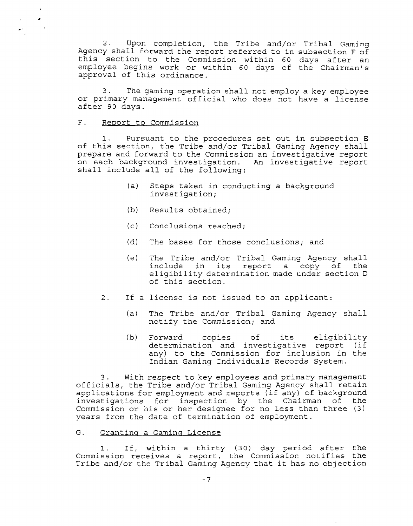2. Upon completion, the Tribe and/or Tribal Gaming Agency shall forward the report referred to in subsection F of this section to the Commission within 60 days after an employee begins work or within 60 days of the Chairman's approval of this ordinance.

*3.* The gaming operation shall not employ a key employee or primary management official who does not have a license after 90 days.

#### $F_{\star}$ Report to Commission

 $\bullet$ 

 $\bullet$ 

Pursuant to the procedures set out in subsection E of this section, the Tribe and/or Tribal Gaming Agency shall prepare and forward to the Commission an investigative report on each background investigation. An investigative report shall include all of the following:

- (a) Steps taken in conducting **a** background investigation;
- (b) Results obtained;
- **(c)** Conclusions reached;
- (d) The bases for those conclusions; and
- (e) The Tribe and/or Tribal Gaming Agency shall include in its report a copy of eligibility determination made under section D of this section.
- 2. If a license is not issued to an applicant:
	- (a) The Tribe and/or Tribal Gaming Agency shall notify the Commission; and
	- (b) Forward copies of its eligibility determination and investigative report (if any) to the Commission for inclusion in the Indian Gaming Individuals Records System.

*3.* With respect to key employees and primary management officials, the Tribe and/or Tribal Gaming Agency shall retain applications for employment and reports (if any) of background investigations for inspection by the Chairman of the Commission or his or her designee for no less than three **(3)**  years from the date of termination of employment.

#### G. Granting a Gaming License

÷.

1. If, within a thirty (30) day period after the Commission receives a report, the Commission notifies the Tribe and/or the Tribal Gaming Agency that it has no objection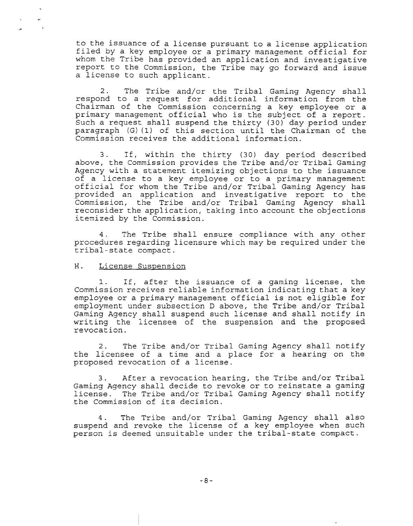to the issuance of a license pursuant to a license application filed by a key employee or a primary management official for whom the Tribe has provided an application and investigative report to the Commission, the Tribe may go forward and issue a license to such applicant.

2. The Tribe and/or the Tribal Gaming Agency shall respond to a request for additional information from the Chairman of the Commission concerning a key employee or a primary management official who is the subject of a report. Such a request shall suspend the thirty (30) day period under paragraph (G) (1) of this section until the Chairman of the Commission receives the additional information.

3. If, within the thirty (30) day period described above, the Commission provides the Tribe and/or Tribal Gaming Agency with a statement itemizing objections to the issuance of a license to a key employee or to a primary management official for whom the Tribe and/or Tribal Gaming Agency has provided an application and investigative report to the Commission, the Tribe and/or Tribal Gaming Agency shall reconsider the application, taking into account the objections itemized by the Commission.

4. The Tribe shall ensure compliance with any other procedures regarding licensure which may be required under the tribal-state compact.

#### H. License Suspension

1. If, after the issuance of a gaming license, the Commission receives reliable information indicating that a key employee or a primary management official is not eligible for employment under subsection D above, the Tribe and/or Tribal Gaming Agency shall suspend such license and shall notify in writing the licensee of the suspension and the proposed revocation.

2. The Tribe and/or Tribal Gaming Agency shall notify the licensee of a time and a place for a hearing on the proposed revocation of a license.

3. After a revocation hearing, the Tribe and/or Tribal Gaming Agency shall decide to revoke or to reinstate a gaming license. The Tribe and/or Tribal Gaming Agency shall notify the Commission of its decision.

4. The Tribe and/or Tribal Gaming Agency shall also suspend and revoke the license of **a** key employee when such person is deemed unsuitable under the tribal-state compact.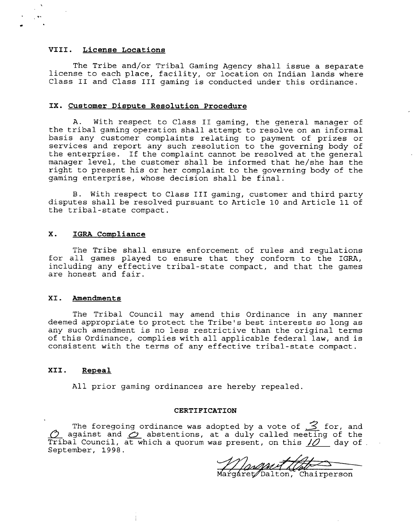#### **VIII. License Locations**

The Tribe and/or Tribal Gaming Agency shall issue a separate license to each place, facility, or location on Indian lands where Class **I1** and Class I11 gaming is conducted under this ordinance.

### **IX. Customer Dispute Resolution Procedure**

A. With respect to Class I1 gaming, the general manager of the tribal gaming operation shall attempt to resolve on an informal basis any customer complaints relating to payment of prizes or services and report any such resolution to the governing body of the enterprise. If the complaint cannot be resolved at the general manager level, the customer shall be informed that he/she has the right to present his or her complaint to the governing body of the gaming enterprise, whose decision shall be final.

B. With respect to Class 111 gaming, customer and third party disputes shall be resolved pursuant to Article 10 and Article **11** of the tribal-state compact.

#### **X. IGRA Compliance**

The Tribe shall ensure enforcement of rules and regulations for all games played to ensure that they conform to the IGRA, including any effective tribal-state compact, and that the games are honest and fair.

#### **XI. Amendments**

The Tribal Council may amend this Ordinance in any manner deemed appropriate to protect the Tribe's best interests so long as any such amendment is no less restrictive than the original terms of this Ordinance, complies with all applicable federal law, and is consistent with the terms of any effective tribal-state compact.

#### **XII. Repeal**

All prior gaming ordinances are hereby repealed.

#### **CERTIFICATION**

The foregoing ordinance was adopted by a vote of 3 for, and  $\overline{O}$  against and  $\overline{C}$  abstentions, at a duly called meeting of the Tribal Council, at which a quorum was present, on this  $\mathcal{U}$  day of September, **1998.** 

Mangaret/Dalton, Chairperson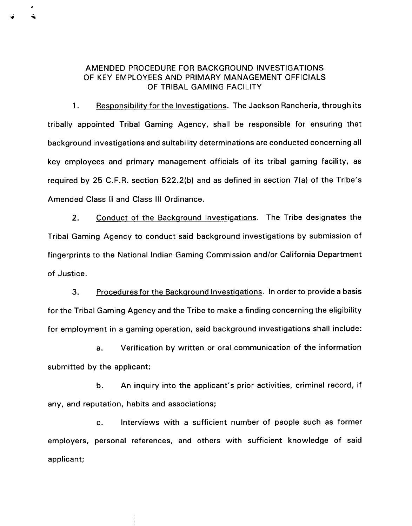# AMENDED PROCEDURE FOR BACKGROUND INVESTIGATIONS OF KEY EMPLOYEES AND PRIMARY MANAGEMENT OFFICIALS OF TRIBAL GAMING FACILITY

1. Responsibility for the Investigations. The Jackson Rancheria, through its tribally appointed Tribal Gaming Agency, shall be responsible for ensuring that background investigations and suitability determinations are conducted concerning all key employees and primary management officials of its tribal gaming facility, as required by 25 C.F.R. section 522.2(b) and as defined in section 7(a) of the Tribe's Amended Class II and Class Ill Ordinance.

2. Conduct of the Background Investigations. The Tribe designates the Tribal Gaming Agency to conduct said background investigations by submission of fingerprints to the National Indian Gaming Commission and/or California Department of Justice.

**3.** Proceduresfor the Backaround Investiqations. In order to provide a basis for the Tribal Gaming Agency and the Tribe to make a finding concerning the eligibility for employment in a gaming operation, said background investigations shall include:

a. Verification by written or oral communication of the information submitted by the applicant;

b. An inquiry into the applicant's prior activities, criminal record, if any, and reputation, habits and associations;

c. Interviews with a sufficient number of people such as former employers, personal references, and others with sufficient knowledge of said applicant;